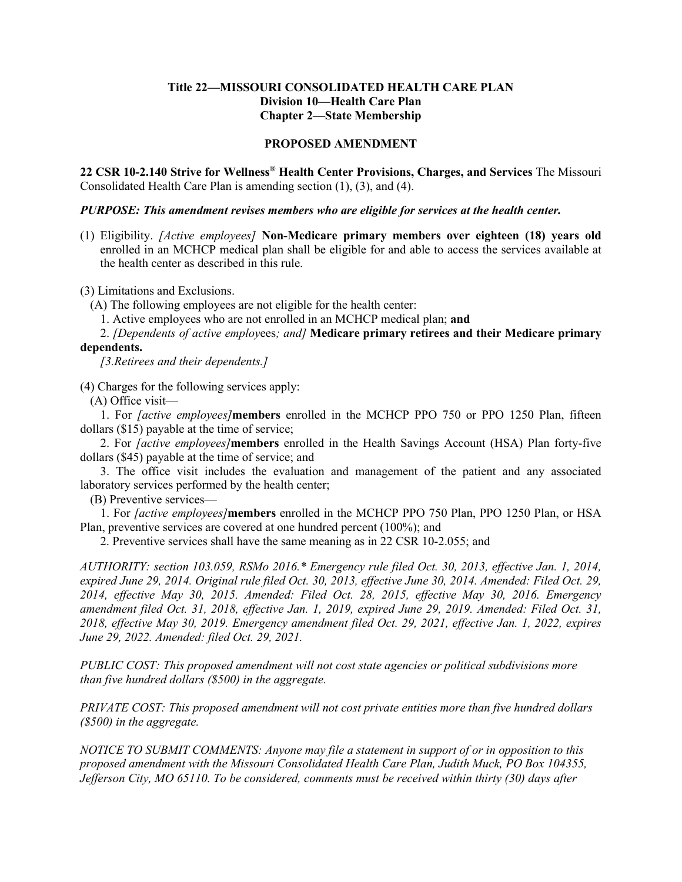## **Title 22—MISSOURI CONSOLIDATED HEALTH CARE PLAN Division 10—Health Care Plan Chapter 2—State Membership**

## **PROPOSED AMENDMENT**

**22 CSR 10-2.140 Strive for Wellness® Health Center Provisions, Charges, and Services** The Missouri Consolidated Health Care Plan is amending section (1), (3), and (4).

## *PURPOSE: This amendment revises members who are eligible for services at the health center.*

(1) Eligibility. *[Active employees]* **Non-Medicare primary members over eighteen (18) years old** enrolled in an MCHCP medical plan shall be eligible for and able to access the services available at the health center as described in this rule.

(3) Limitations and Exclusions.

(A) The following employees are not eligible for the health center:

1. Active employees who are not enrolled in an MCHCP medical plan; **and**

2. *[Dependents of active employ*ees*; and]* **Medicare primary retirees and their Medicare primary dependents.**

*[3.Retirees and their dependents.]*

(4) Charges for the following services apply:

(A) Office visit—

1. For *[active employees]***members** enrolled in the MCHCP PPO 750 or PPO 1250 Plan, fifteen dollars (\$15) payable at the time of service;

2. For *[active employees]***members** enrolled in the Health Savings Account (HSA) Plan forty-five dollars (\$45) payable at the time of service; and

3. The office visit includes the evaluation and management of the patient and any associated laboratory services performed by the health center;

(B) Preventive services—

1. For *[active employees]***members** enrolled in the MCHCP PPO 750 Plan, PPO 1250 Plan, or HSA Plan, preventive services are covered at one hundred percent (100%); and

2. Preventive services shall have the same meaning as in 22 CSR 10-2.055; and

*AUTHORITY: section 103.059, RSMo 2016.\* Emergency rule filed Oct. 30, 2013, effective Jan. 1, 2014, expired June 29, 2014. Original rule filed Oct. 30, 2013, effective June 30, 2014. Amended: Filed Oct. 29, 2014, effective May 30, 2015. Amended: Filed Oct. 28, 2015, effective May 30, 2016. Emergency amendment filed Oct. 31, 2018, effective Jan. 1, 2019, expired June 29, 2019. Amended: Filed Oct. 31, 2018, effective May 30, 2019. Emergency amendment filed Oct. 29, 2021, effective Jan. 1, 2022, expires June 29, 2022. Amended: filed Oct. 29, 2021.*

*PUBLIC COST: This proposed amendment will not cost state agencies or political subdivisions more than five hundred dollars (\$500) in the aggregate.*

*PRIVATE COST: This proposed amendment will not cost private entities more than five hundred dollars (\$500) in the aggregate.*

*NOTICE TO SUBMIT COMMENTS: Anyone may file a statement in support of or in opposition to this proposed amendment with the Missouri Consolidated Health Care Plan, Judith Muck, PO Box 104355, Jefferson City, MO 65110. To be considered, comments must be received within thirty (30) days after*